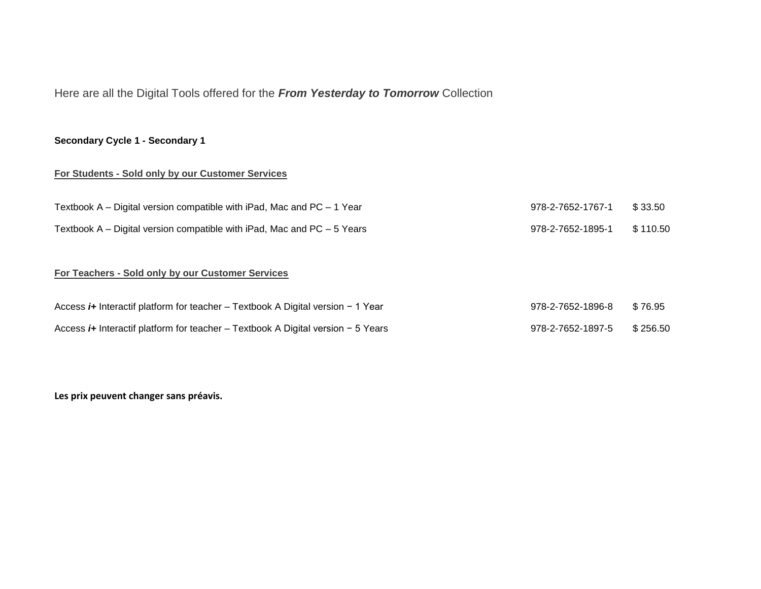# Here are all the Digital Tools offered for the *From Yesterday to Tomorrow* Collection

#### **Secondary Cycle 1 - Secondary 1**

#### **For Students - Sold only by our Customer Services**

| Textbook $A -$ Digital version compatible with iPad, Mac and PC $-1$ Year  | 978-2-7652-1767-1 \$33.50  |  |
|----------------------------------------------------------------------------|----------------------------|--|
| Textbook $A -$ Digital version compatible with iPad, Mac and PC $-5$ Years | 978-2-7652-1895-1 \$110.50 |  |

# **For Teachers - Sold only by our Customer Services**

| Access <i>i</i> + Interactif platform for teacher - Textbook A Digital version - 1 Year | 978-2-7652-1896-8 \$76.95  |  |
|-----------------------------------------------------------------------------------------|----------------------------|--|
| Access $i$ + Interactif platform for teacher – Textbook A Digital version – 5 Years     | 978-2-7652-1897-5 \$256.50 |  |

**Les prix peuvent changer sans préavis.**